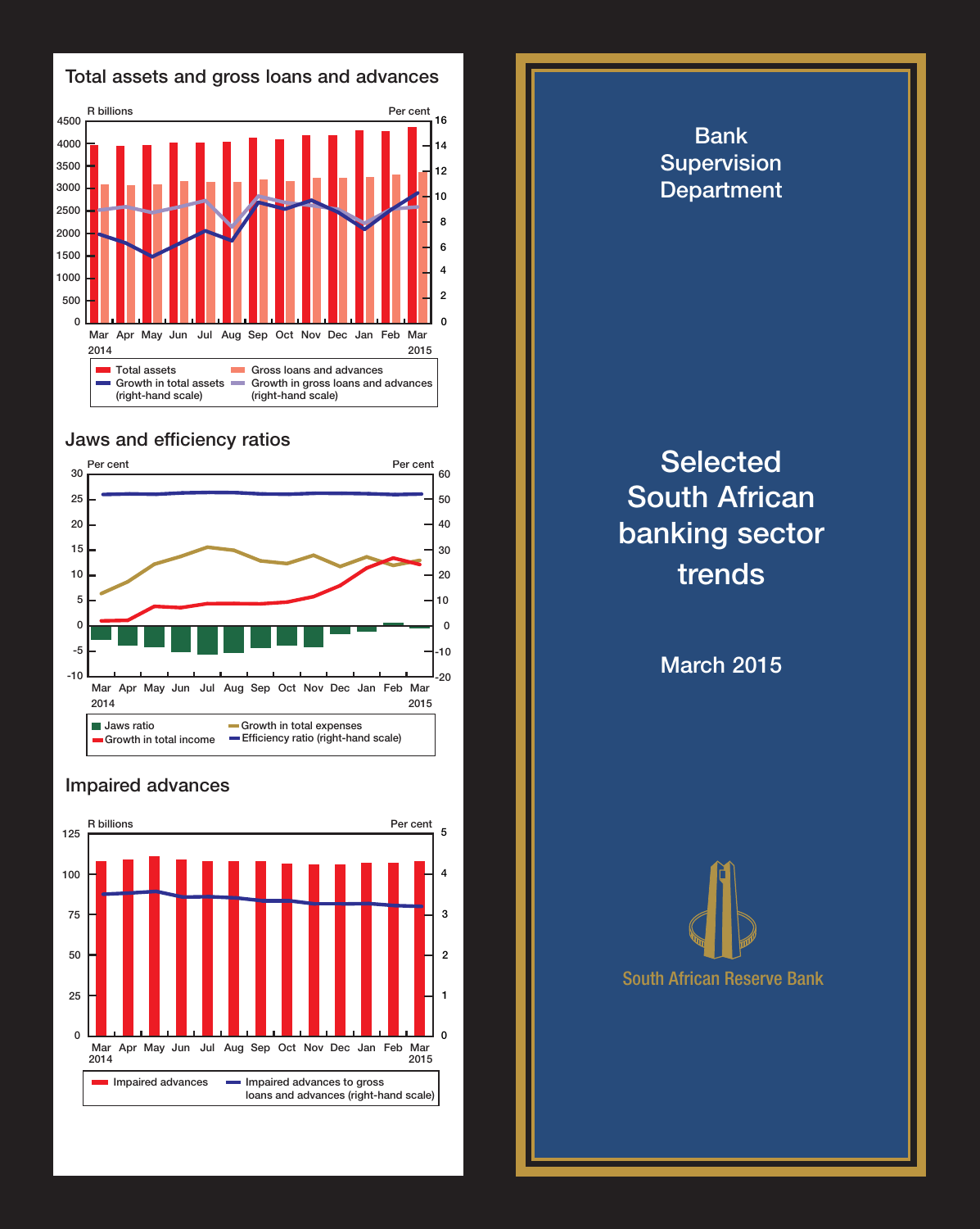

## Jaws and efficiency ratios



## Impaired advances



Bank Supervision **Department Selected** South African banking sector trends